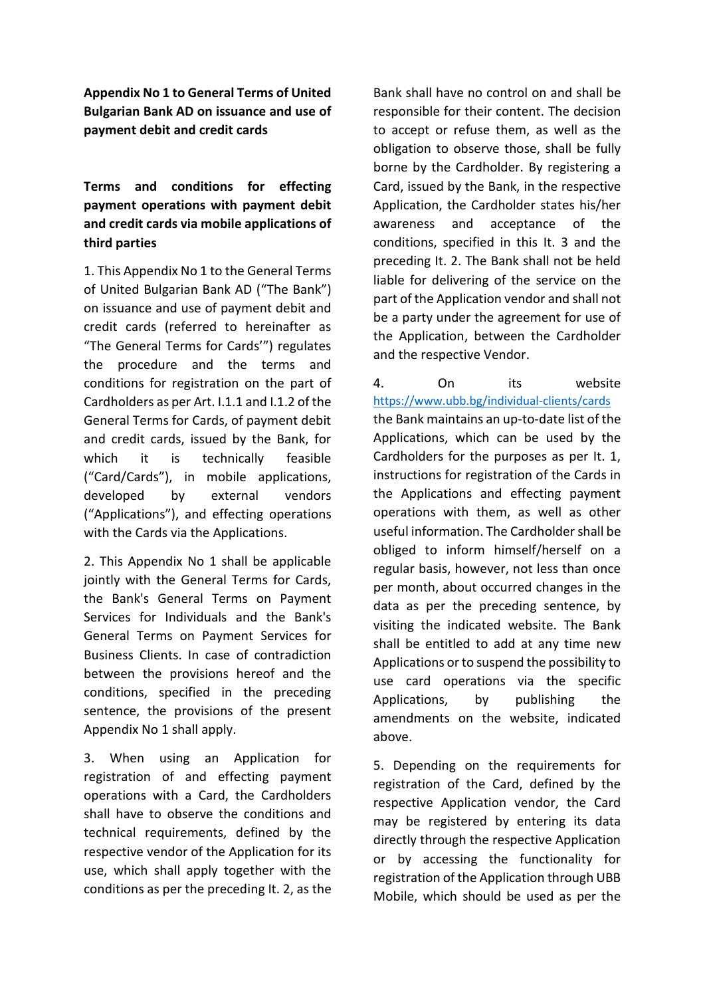**Appendix No 1 to General Terms of United Bulgarian Bank AD on issuance and use of payment debit and credit cards**

**Terms and conditions for effecting payment operations with payment debit and credit cards via mobile applications of third parties**

1. This Appendix No 1 to the General Terms of United Bulgarian Bank AD ("The Bank") on issuance and use of payment debit and credit cards (referred to hereinafter as "The General Terms for Cards'") regulates the procedure and the terms and conditions for registration on the part of Cardholders as per Art. I.1.1 and I.1.2 of the General Terms for Cards, of payment debit and credit cards, issued by the Bank, for which it is technically feasible ("Card/Cards"), in mobile applications, developed by external vendors ("Applications"), and effecting operations with the Cards via the Applications.

2. This Appendix No 1 shall be applicable jointly with the General Terms for Cards, the Bank's General Terms on Payment Services for Individuals and the Bank's General Terms on Payment Services for Business Clients. In case of contradiction between the provisions hereof and the conditions, specified in the preceding sentence, the provisions of the present Appendix No 1 shall apply.

3. When using an Application for registration of and effecting payment operations with a Card, the Cardholders shall have to observe the conditions and technical requirements, defined by the respective vendor of the Application for its use, which shall apply together with the conditions as per the preceding It. 2, as the

Bank shall have no control on and shall be responsible for their content. The decision to accept or refuse them, as well as the obligation to observe those, shall be fully borne by the Cardholder. By registering a Card, issued by the Bank, in the respective Application, the Cardholder states his/her awareness and acceptance of the conditions, specified in this It. 3 and the preceding It. 2. The Bank shall not be held liable for delivering of the service on the part of the Application vendor and shall not be a party under the agreement for use of the Application, between the Cardholder and the respective Vendor.

4. On its website <https://www.ubb.bg/individual-clients/cards> the Bank maintains an up-to-date list of the Applications, which can be used by the Cardholders for the purposes as per It. 1, instructions for registration of the Cards in the Applications and effecting payment operations with them, as well as other useful information. The Cardholder shall be obliged to inform himself/herself on a regular basis, however, not less than once per month, about occurred changes in the data as per the preceding sentence, by visiting the indicated website. The Bank shall be entitled to add at any time new Applications or to suspend the possibility to use card operations via the specific Applications, by publishing the amendments on the website, indicated above.

5. Depending on the requirements for registration of the Card, defined by the respective Application vendor, the Card may be registered by entering its data directly through the respective Application or by accessing the functionality for registration of the Application through UBB Mobile, which should be used as per the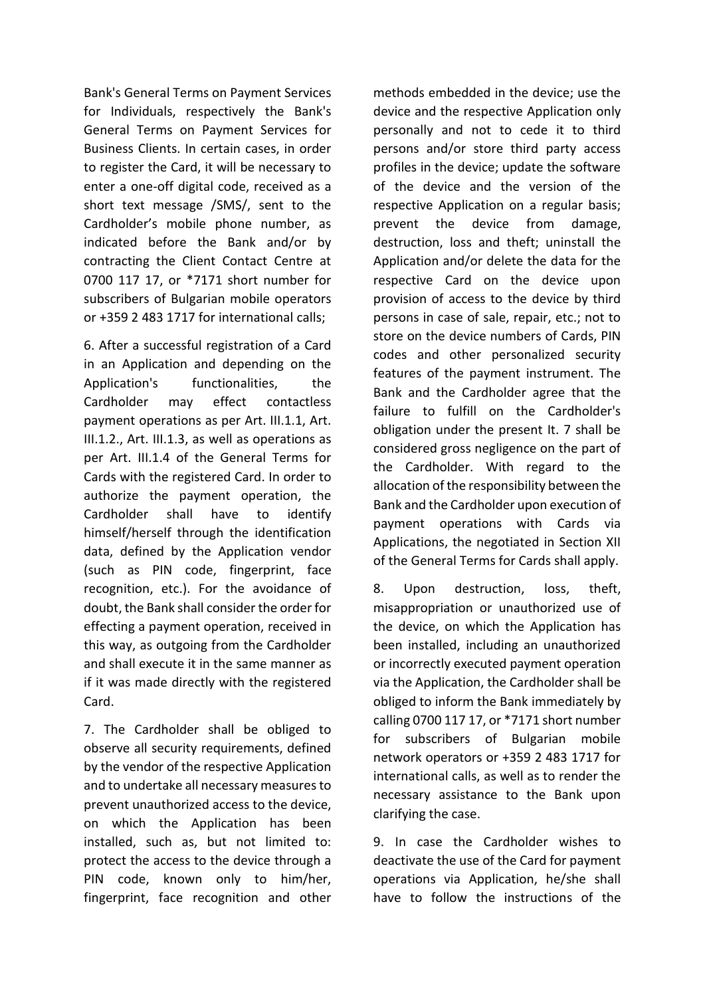Bank's General Terms on Payment Services for Individuals, respectively the Bank's General Terms on Payment Services for Business Clients. In certain cases, in order to register the Card, it will be necessary to enter a one-off digital code, received as a short text message /SMS/, sent to the Cardholder's mobile phone number, as indicated before the Bank and/or by contracting the Client Contact Centre at 0700 117 17, or \*7171 short number for subscribers of Bulgarian mobile operators or +359 2 483 1717 for international calls;

6. After a successful registration of a Card in an Application and depending on the Application's functionalities, the Cardholder may effect contactless payment operations as per Art. III.1.1, Art. III.1.2., Art. III.1.3, as well as operations as per Art. III.1.4 of the General Terms for Cards with the registered Card. In order to authorize the payment operation, the Cardholder shall have to identify himself/herself through the identification data, defined by the Application vendor (such as PIN code, fingerprint, face recognition, etc.). For the avoidance of doubt, the Bank shall consider the order for effecting a payment operation, received in this way, as outgoing from the Cardholder and shall execute it in the same manner as if it was made directly with the registered Card.

7. The Cardholder shall be obliged to observe all security requirements, defined by the vendor of the respective Application and to undertake all necessary measures to prevent unauthorized access to the device, on which the Application has been installed, such as, but not limited to: protect the access to the device through a PIN code, known only to him/her, fingerprint, face recognition and other methods embedded in the device; use the device and the respective Application only personally and not to cede it to third persons and/or store third party access profiles in the device; update the software of the device and the version of the respective Application on a regular basis; prevent the device from damage, destruction, loss and theft; uninstall the Application and/or delete the data for the respective Card on the device upon provision of access to the device by third persons in case of sale, repair, etc.; not to store on the device numbers of Cards, PIN codes and other personalized security features of the payment instrument. The Bank and the Cardholder agree that the failure to fulfill on the Cardholder's obligation under the present It. 7 shall be considered gross negligence on the part of the Cardholder. With regard to the allocation of the responsibility between the Bank and the Cardholder upon execution of payment operations with Cards via Applications, the negotiated in Section XII of the General Terms for Cards shall apply.

8. Upon destruction, loss, theft, misappropriation or unauthorized use of the device, on which the Application has been installed, including an unauthorized or incorrectly executed payment operation via the Application, the Cardholder shall be obliged to inform the Bank immediately by calling 0700 117 17, or \*7171 short number for subscribers of Bulgarian mobile network operators or +359 2 483 1717 for international calls, as well as to render the necessary assistance to the Bank upon clarifying the case.

9. In case the Cardholder wishes to deactivate the use of the Card for payment operations via Application, he/she shall have to follow the instructions of the